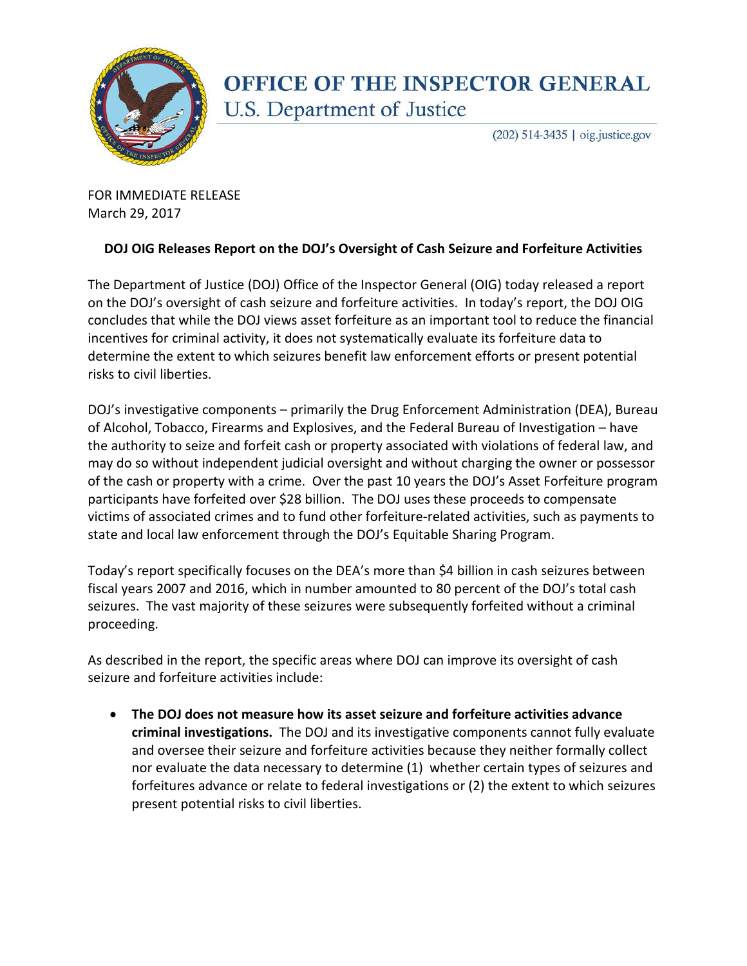

## **OFFICE OF THE INSPECTOR GENERAL** U.S. Department of Justice

(202) 514-3435 | oig.justice.gov

FOR IMMEDIATE RELEASE March 29, 2017

## **DOJ OIG Releases Report on the DOJ's Oversight of Cash Seizure and Forfeiture Activities**

The Department of Justice (DOJ) Office of the Inspector General (OIG) today released a report on the DOJ's oversight of cash seizure and forfeiture activities. In today's report, the DOJ OIG concludes that while the DOJ views asset forfeiture as an important tool to reduce the financial incentives for criminal activity, it does not systematically evaluate its forfeiture data to determine the extent to which seizures benefit law enforcement efforts or present potential risks to civil liberties.

DOJ's investigative components – primarily the Drug Enforcement Administration (DEA), Bureau of Alcohol, Tobacco, Firearms and Explosives, and the Federal Bureau of Investigation – have the authority to seize and forfeit cash or property associated with violations of federal law, and may do so without independent judicial oversight and without charging the owner or possessor of the cash or property with a crime. Over the past 10 years the DOJ's Asset Forfeiture program participants have forfeited over \$28 billion. The DOJ uses these proceeds to compensate victims of associated crimes and to fund other forfeiture-related activities, such as payments to state and local law enforcement through the DOJ's Equitable Sharing Program.

Today's report specifically focuses on the DEA's more than \$4 billion in cash seizures between fiscal years 2007 and 2016, which in number amounted to 80 percent of the DOJ's total cash seizures. The vast majority of these seizures were subsequently forfeited without a criminal proceeding.

As described in the report, the specific areas where DOJ can improve its oversight of cash seizure and forfeiture activities include:

• **The DOJ does not measure how its asset seizure and forfeiture activities advance criminal investigations.** The DOJ and its investigative components cannot fully evaluate and oversee their seizure and forfeiture activities because they neither formally collect nor evaluate the data necessary to determine (1) whether certain types of seizures and forfeitures advance or relate to federal investigations or (2) the extent to which seizures present potential risks to civil liberties.